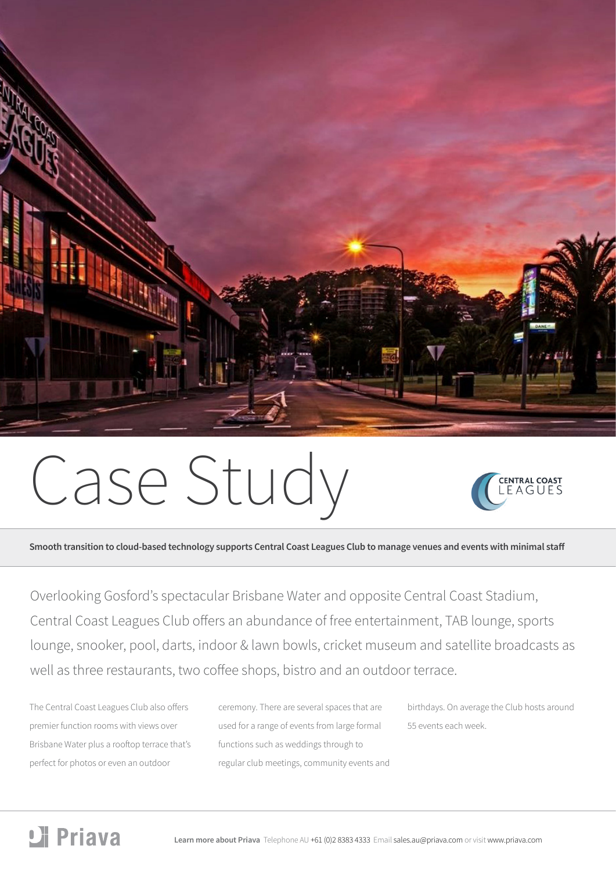

# Case Study



**Smooth transition to cloud-based technology supports Central Coast Leagues Club to manage venues and events with minimal staff** 

Overlooking Gosford's spectacular Brisbane Water and opposite Central Coast Stadium, Central Coast Leagues Club offers an abundance of free entertainment, TAB lounge, sports lounge, snooker, pool, darts, indoor & lawn bowls, cricket museum and satellite broadcasts as well as three restaurants, two coffee shops, bistro and an outdoor terrace.

The Central Coast Leagues Club also offers premier function rooms with views over Brisbane Water plus a rooftop terrace that's perfect for photos or even an outdoor

ceremony. There are several spaces that are used for a range of events from large formal functions such as weddings through to regular club meetings, community events and birthdays. On average the Club hosts around 55 events each week.

# Li Priava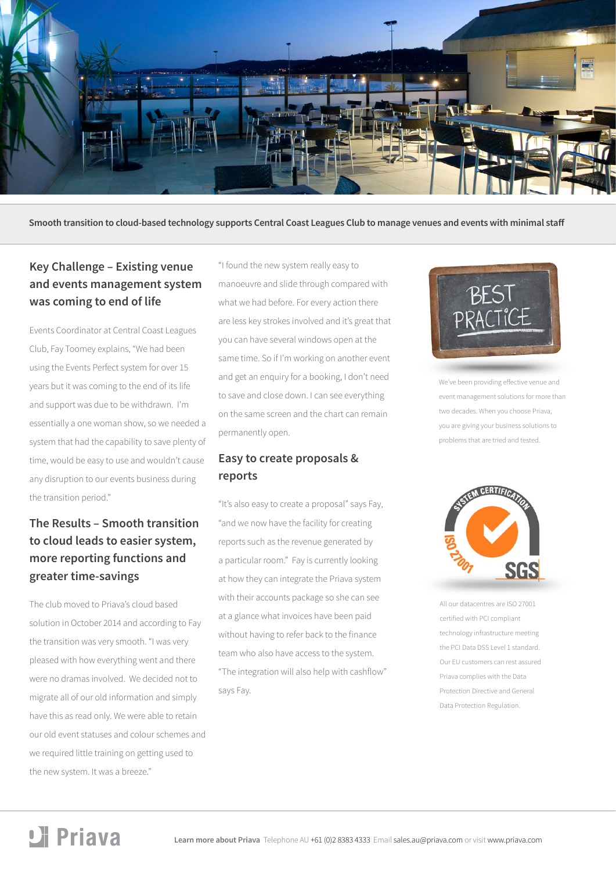

**Smooth transition to cloud-based technology supports Central Coast Leagues Club to manage venues and events with minimal staff** 

## **Key Challenge – Existing venue and events management system was coming to end of life**

Events Coordinator at Central Coast Leagues Club, Fay Toomey explains, "We had been using the Events Perfect system for over 15 years but it was coming to the end of its life and support was due to be withdrawn. I'm essentially a one woman show, so we needed a system that had the capability to save plenty of time, would be easy to use and wouldn't cause any disruption to our events business during the transition period."

## **The Results – Smooth transition to cloud leads to easier system, more reporting functions and greater time-savings**

The club moved to Priava's cloud based solution in October 2014 and according to Fay the transition was very smooth. "I was very pleased with how everything went and there were no dramas involved. We decided not to migrate all of our old information and simply have this as read only. We were able to retain our old event statuses and colour schemes and we required little training on getting used to the new system. It was a breeze."

"I found the new system really easy to manoeuvre and slide through compared with what we had before. For every action there are less key strokes involved and it's great that you can have several windows open at the same time. So if I'm working on another event and get an enquiry for a booking, I don't need to save and close down. I can see everything on the same screen and the chart can remain permanently open.

### **Easy to create proposals & reports**

"It's also easy to create a proposal" says Fay, "and we now have the facility for creating reports such as the revenue generated by a particular room." Fay is currently looking at how they can integrate the Priava system with their accounts package so she can see at a glance what invoices have been paid without having to refer back to the finance team who also have access to the system. "The integration will also help with cashflow" says Fay.



We've been providing effective venue and event management solutions for more than two decades. When you choose Priava, you are giving your business solutions to problems that are tried and tested.



All our datacentres are ISO 27001 certified with PCI compliant technology infrastructure meeting the PCI Data DSS Level 1 standard. Our EU customers can rest assured Priava complies with the Data Protection Directive and General Data Protection Regulation.

## Li Priava